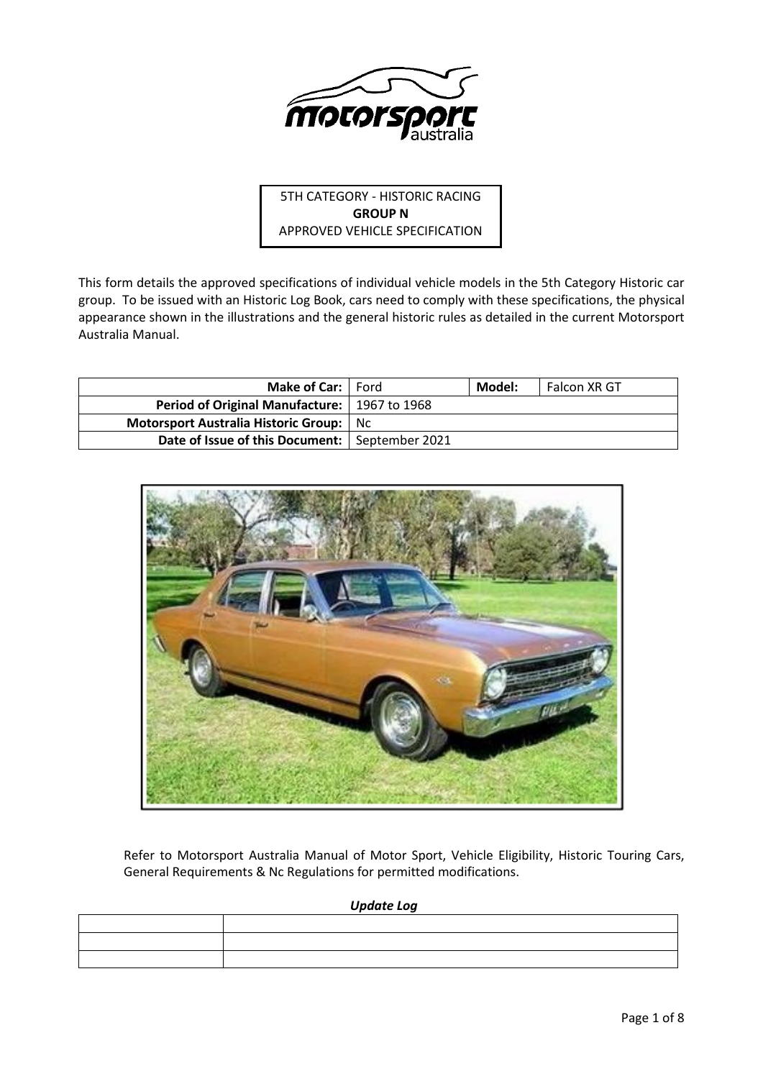

5TH CATEGORY - HISTORIC RACING **GROUP N** APPROVED VEHICLE SPECIFICATION

This form details the approved specifications of individual vehicle models in the 5th Category Historic car group. To be issued with an Historic Log Book, cars need to comply with these specifications, the physical appearance shown in the illustrations and the general historic rules as detailed in the current Motorsport Australia Manual.

| <b>Make of Car:</b>   Ford                       | Model: | Falcon XR GT |
|--------------------------------------------------|--------|--------------|
| Period of Original Manufacture:   1967 to 1968   |        |              |
| Motorsport Australia Historic Group: No          |        |              |
| Date of Issue of this Document:   September 2021 |        |              |



Refer to Motorsport Australia Manual of Motor Sport, Vehicle Eligibility, Historic Touring Cars, General Requirements & Nc Regulations for permitted modifications.

*Update Log*

| the contract of the contract of the |  |
|-------------------------------------|--|
|                                     |  |
|                                     |  |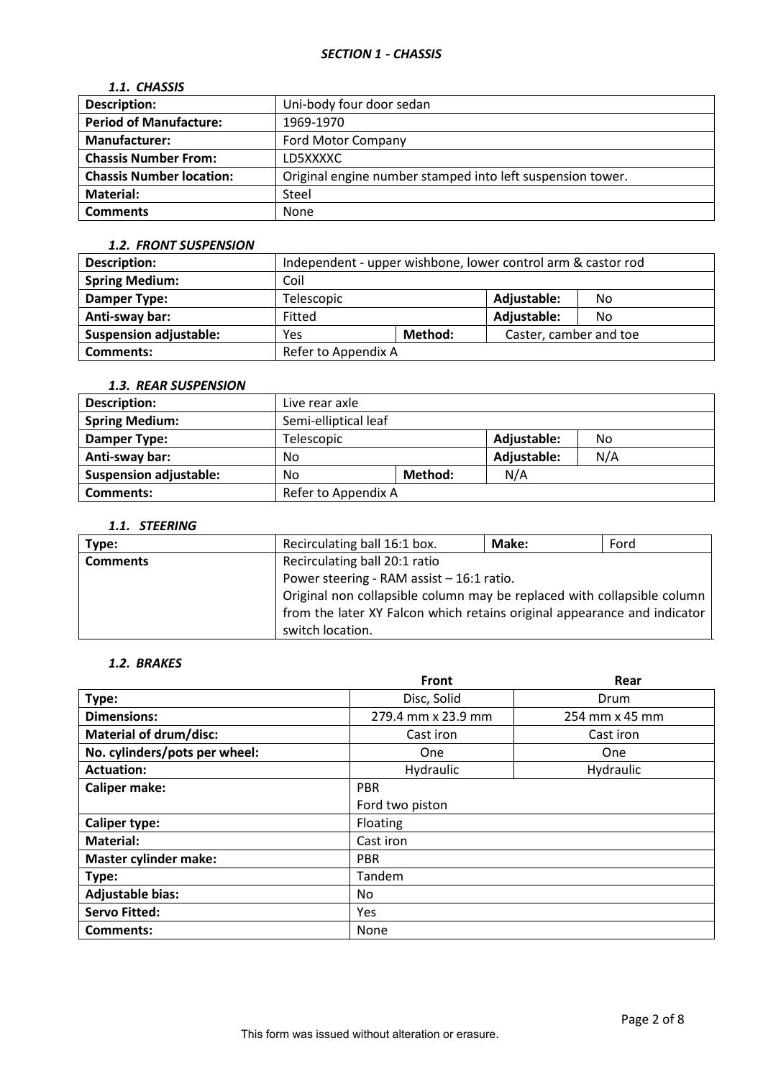## *1.1. CHASSIS*

| <b>Description:</b>             | Uni-body four door sedan                                   |
|---------------------------------|------------------------------------------------------------|
| <b>Period of Manufacture:</b>   | 1969-1970                                                  |
| <b>Manufacturer:</b>            | <b>Ford Motor Company</b>                                  |
| <b>Chassis Number From:</b>     | LD5XXXXC                                                   |
| <b>Chassis Number location:</b> | Original engine number stamped into left suspension tower. |
| Material:                       | Steel                                                      |
| <b>Comments</b>                 | None                                                       |

### *1.2. FRONT SUSPENSION*

| Description:                  | Independent - upper wishbone, lower control arm & castor rod |  |                        |    |
|-------------------------------|--------------------------------------------------------------|--|------------------------|----|
| <b>Spring Medium:</b>         | Coil                                                         |  |                        |    |
| Damper Type:                  | Telescopic                                                   |  | Adjustable:            | No |
| Anti-sway bar:                | Fitted                                                       |  | Adjustable:            | No |
| <b>Suspension adjustable:</b> | Method:<br>Yes                                               |  | Caster, camber and toe |    |
| <b>Comments:</b>              | Refer to Appendix A                                          |  |                        |    |

# *1.3. REAR SUSPENSION*

| <b>Description:</b>           | Live rear axle       |  |             |     |
|-------------------------------|----------------------|--|-------------|-----|
| <b>Spring Medium:</b>         | Semi-elliptical leaf |  |             |     |
| Damper Type:                  | Telescopic           |  | Adjustable: | No  |
| Anti-sway bar:                | No                   |  | Adjustable: | N/A |
| <b>Suspension adjustable:</b> | Method:<br>No        |  | N/A         |     |
| Comments:                     | Refer to Appendix A  |  |             |     |

## *1.1. STEERING*

| Type:           | Recirculating ball 16:1 box.                                             | Make: | Ford |  |
|-----------------|--------------------------------------------------------------------------|-------|------|--|
| <b>Comments</b> | Recirculating ball 20:1 ratio                                            |       |      |  |
|                 | Power steering - RAM assist - 16:1 ratio.                                |       |      |  |
|                 | Original non collapsible column may be replaced with collapsible column  |       |      |  |
|                 | from the later XY Falcon which retains original appearance and indicator |       |      |  |
|                 | switch location.                                                         |       |      |  |

## *1.2. BRAKES*

|                               | Front              | Rear           |  |  |
|-------------------------------|--------------------|----------------|--|--|
| Type:                         | Disc, Solid        | Drum           |  |  |
| <b>Dimensions:</b>            | 279.4 mm x 23.9 mm | 254 mm x 45 mm |  |  |
| <b>Material of drum/disc:</b> | Cast iron          | Cast iron      |  |  |
| No. cylinders/pots per wheel: | One                | <b>One</b>     |  |  |
| <b>Actuation:</b>             | Hydraulic          | Hydraulic      |  |  |
| <b>Caliper make:</b>          | <b>PBR</b>         |                |  |  |
|                               | Ford two piston    |                |  |  |
| <b>Caliper type:</b>          | Floating           |                |  |  |
| <b>Material:</b>              | Cast iron          |                |  |  |
| <b>Master cylinder make:</b>  | <b>PBR</b>         |                |  |  |
| Type:                         | Tandem             |                |  |  |
| <b>Adjustable bias:</b>       | No.                |                |  |  |
| <b>Servo Fitted:</b>          | <b>Yes</b>         |                |  |  |
| Comments:                     | None               |                |  |  |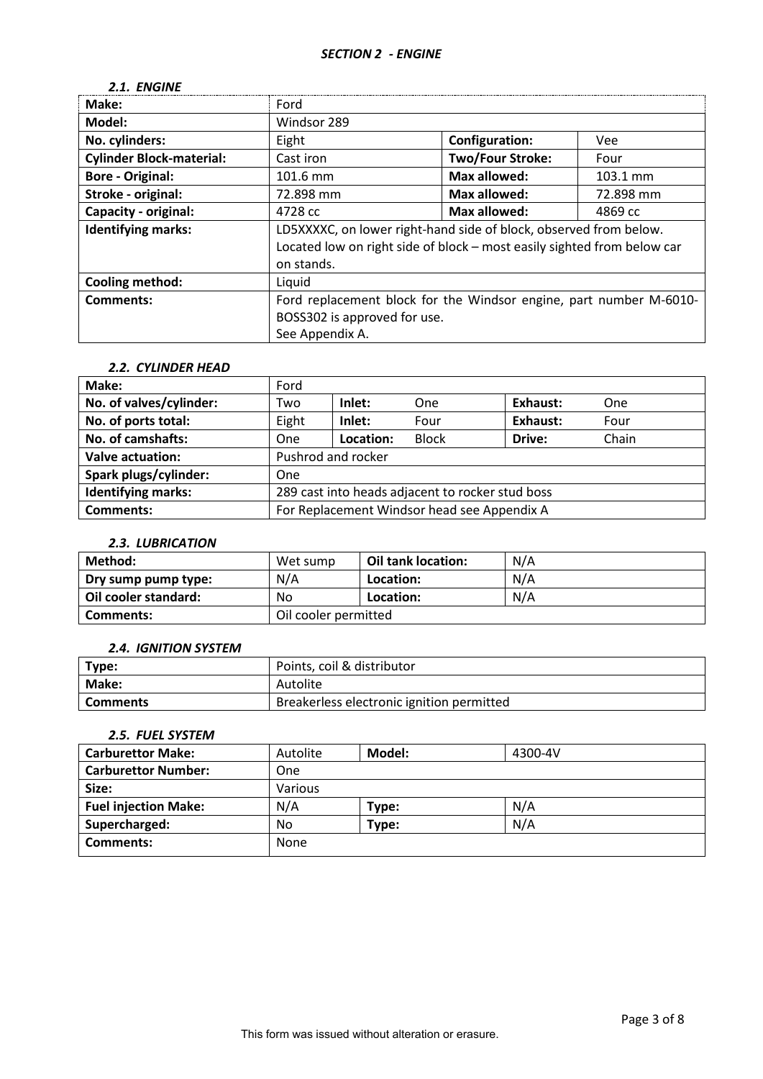## *2.1. ENGINE*

| Make:                           | Ford                                                                    |                           |                    |  |  |
|---------------------------------|-------------------------------------------------------------------------|---------------------------|--------------------|--|--|
| Model:                          | Windsor 289                                                             |                           |                    |  |  |
| No. cylinders:                  | Eight                                                                   | <b>Configuration:</b>     | <b>Vee</b>         |  |  |
| <b>Cylinder Block-material:</b> | Cast iron                                                               | <b>Two/Four Stroke:</b>   | Four               |  |  |
| <b>Bore - Original:</b>         | 101.6 mm                                                                | <b>Max allowed:</b>       | $103.1 \text{ mm}$ |  |  |
| Stroke - original:              | 72.898 mm                                                               | Max allowed:<br>72.898 mm |                    |  |  |
| <b>Capacity - original:</b>     | 4728 cc                                                                 | Max allowed:<br>4869 cc   |                    |  |  |
| <b>Identifying marks:</b>       | LD5XXXXC, on lower right-hand side of block, observed from below.       |                           |                    |  |  |
|                                 | Located low on right side of block - most easily sighted from below car |                           |                    |  |  |
|                                 | on stands.                                                              |                           |                    |  |  |
| <b>Cooling method:</b>          | Liquid                                                                  |                           |                    |  |  |
| <b>Comments:</b>                | Ford replacement block for the Windsor engine, part number M-6010-      |                           |                    |  |  |
|                                 | BOSS302 is approved for use.                                            |                           |                    |  |  |
|                                 | See Appendix A.                                                         |                           |                    |  |  |

### *2.2. CYLINDER HEAD*

| Make:                     | Ford                                             |           |              |          |       |
|---------------------------|--------------------------------------------------|-----------|--------------|----------|-------|
| No. of valves/cylinder:   | Two                                              | Inlet:    | One          | Exhaust: | One   |
| No. of ports total:       | Eight                                            | Inlet:    | Four         | Exhaust: | Four  |
| No. of camshafts:         | <b>One</b>                                       | Location: | <b>Block</b> | Drive:   | Chain |
| <b>Valve actuation:</b>   | Pushrod and rocker                               |           |              |          |       |
| Spark plugs/cylinder:     | One                                              |           |              |          |       |
| <b>Identifying marks:</b> | 289 cast into heads adjacent to rocker stud boss |           |              |          |       |
| <b>Comments:</b>          | For Replacement Windsor head see Appendix A      |           |              |          |       |

## *2.3. LUBRICATION*

| Method:              | Wet sump             | Oil tank location: | N/A |
|----------------------|----------------------|--------------------|-----|
| Dry sump pump type:  | N/A                  | Location:          | N/A |
| Oil cooler standard: | No                   | Location:          | N/A |
| Comments:            | Oil cooler permitted |                    |     |

### *2.4. IGNITION SYSTEM*

| Type:           | Points, coil & distributor                |  |
|-----------------|-------------------------------------------|--|
| Make:           | Autolite                                  |  |
| <b>Comments</b> | Breakerless electronic ignition permitted |  |

## *2.5. FUEL SYSTEM*

| <b>Carburettor Make:</b>    | Autolite | Model: | 4300-4V |
|-----------------------------|----------|--------|---------|
| <b>Carburettor Number:</b>  | One      |        |         |
| Size:                       | Various  |        |         |
| <b>Fuel injection Make:</b> | N/A      | Type:  | N/A     |
| Supercharged:               | No       | Type:  | N/A     |
| Comments:                   | None     |        |         |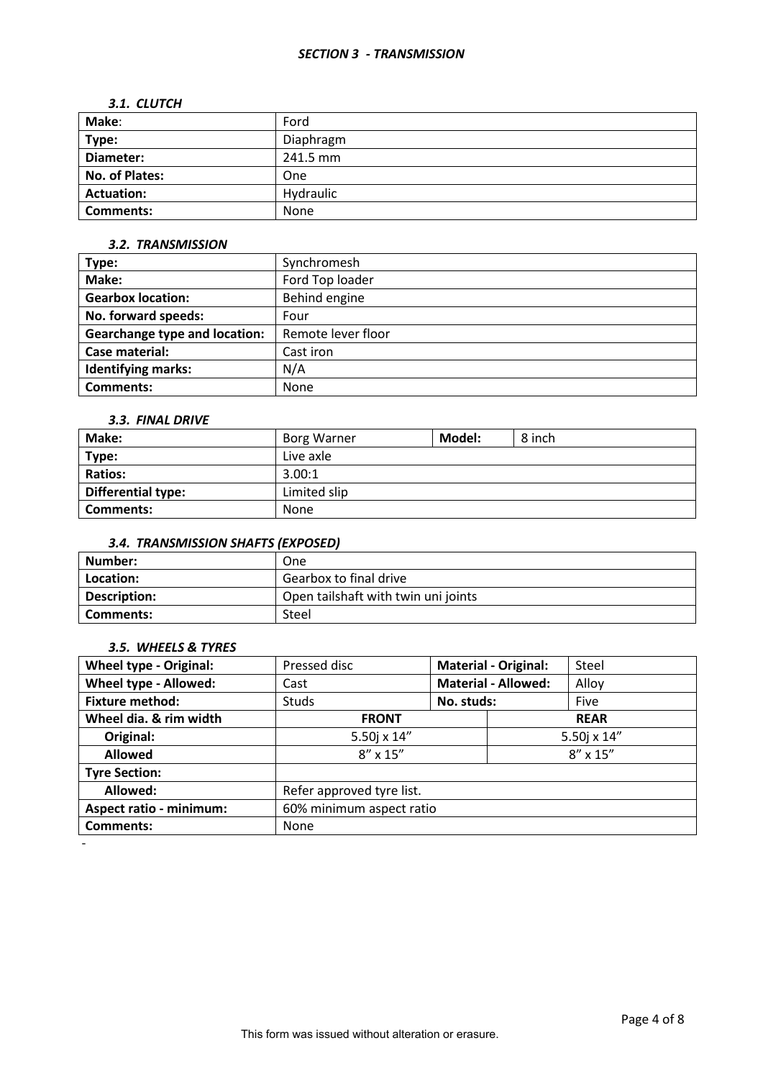### *SECTION 3 - TRANSMISSION*

#### *3.1. CLUTCH*

| Make:             | Ford      |
|-------------------|-----------|
| Type:             | Diaphragm |
| Diameter:         | 241.5 mm  |
| No. of Plates:    | One       |
| <b>Actuation:</b> | Hydraulic |
| <b>Comments:</b>  | None      |

### *3.2. TRANSMISSION*

| Type:                                | Synchromesh        |
|--------------------------------------|--------------------|
| Make:                                | Ford Top loader    |
| <b>Gearbox location:</b>             | Behind engine      |
| No. forward speeds:                  | Four               |
| <b>Gearchange type and location:</b> | Remote lever floor |
| Case material:                       | Cast iron          |
| <b>Identifying marks:</b>            | N/A                |
| Comments:                            | <b>None</b>        |

### *3.3. FINAL DRIVE*

| Make:                     | <b>Borg Warner</b> | Model: | 8 inch |  |
|---------------------------|--------------------|--------|--------|--|
| Type:                     | Live axle          |        |        |  |
| <b>Ratios:</b>            | 3.00:1             |        |        |  |
| <b>Differential type:</b> | Limited slip       |        |        |  |
| Comments:                 | None               |        |        |  |

# *3.4. TRANSMISSION SHAFTS (EXPOSED)*

| Number:      | One                                 |
|--------------|-------------------------------------|
| Location:    | Gearbox to final drive              |
| Description: | Open tailshaft with twin uni joints |
| Comments:    | Steel                               |

### *3.5. WHEELS & TYRES*

-

| <b>Wheel type - Original:</b>  | Pressed disc              | <b>Material - Original:</b> |             | Steel             |
|--------------------------------|---------------------------|-----------------------------|-------------|-------------------|
| Wheel type - Allowed:          | Cast                      | <b>Material - Allowed:</b>  |             | Alloy             |
| <b>Fixture method:</b>         | <b>Studs</b>              | No. studs:                  |             | Five              |
| Wheel dia. & rim width         | <b>FRONT</b>              |                             | <b>REAR</b> |                   |
| Original:                      | 5.50j x 14"               |                             | 5.50j x 14" |                   |
| <b>Allowed</b>                 | $8'' \times 15''$         |                             |             | $8'' \times 15''$ |
| <b>Tyre Section:</b>           |                           |                             |             |                   |
| Allowed:                       | Refer approved tyre list. |                             |             |                   |
| <b>Aspect ratio - minimum:</b> | 60% minimum aspect ratio  |                             |             |                   |
| <b>Comments:</b>               | None                      |                             |             |                   |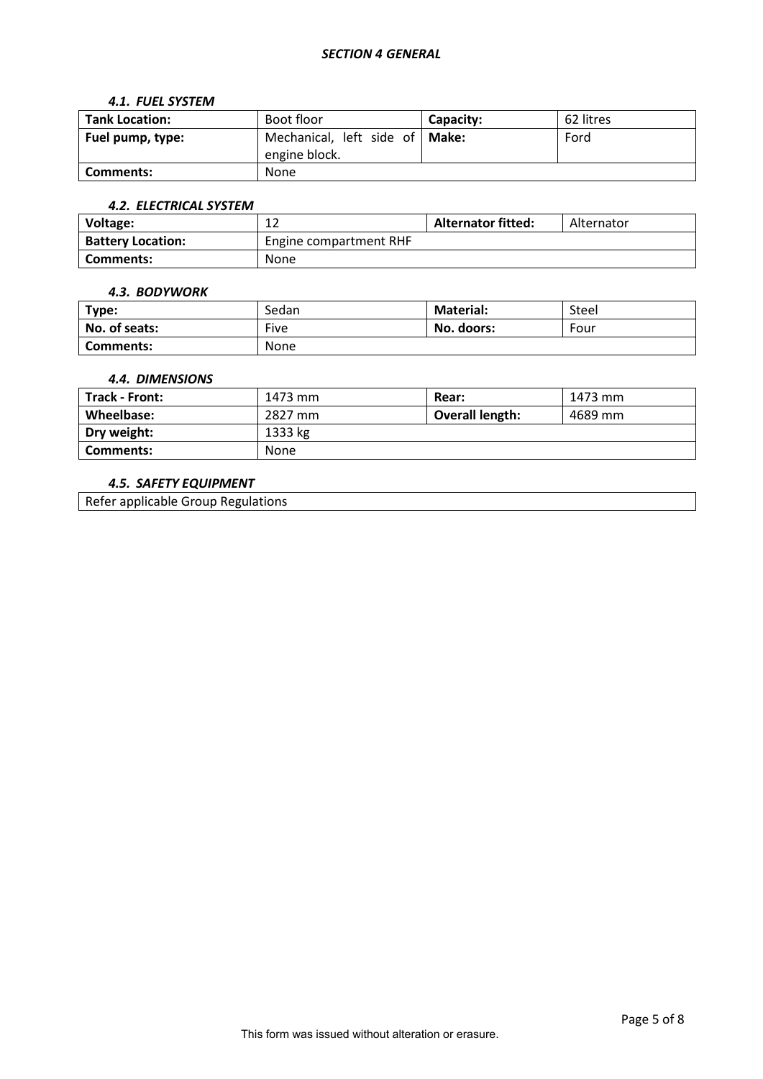### *SECTION 4 GENERAL*

#### *4.1. FUEL SYSTEM*

| <b>Tank Location:</b> | Boot floor                                        | Capacity: | 62 litres |
|-----------------------|---------------------------------------------------|-----------|-----------|
| Fuel pump, type:      | Mechanical, left side of   Make:<br>engine block. |           | Ford      |
| Comments:             | None                                              |           |           |

## *4.2. ELECTRICAL SYSTEM*

| Voltage:                 | ∸∠                     | <b>Alternator fitted:</b> | Alternator |
|--------------------------|------------------------|---------------------------|------------|
| <b>Battery Location:</b> | Engine compartment RHF |                           |            |
| Comments:                | None                   |                           |            |

#### *4.3. BODYWORK*

| Type:         | Sedan | <b>Material:</b> | Steel |
|---------------|-------|------------------|-------|
| No. of seats: | Five  | No. doors:       | Four  |
| Comments:     | None  |                  |       |

### *4.4. DIMENSIONS*

| Track - Front: | 1473 mm     | Rear:                  | 1473 mm |
|----------------|-------------|------------------------|---------|
| Wheelbase:     | 2827 mm     | <b>Overall length:</b> | 4689 mm |
| Dry weight:    | 1333 kg     |                        |         |
| Comments:      | <b>None</b> |                        |         |

### *4.5. SAFETY EQUIPMENT*

Refer applicable Group Regulations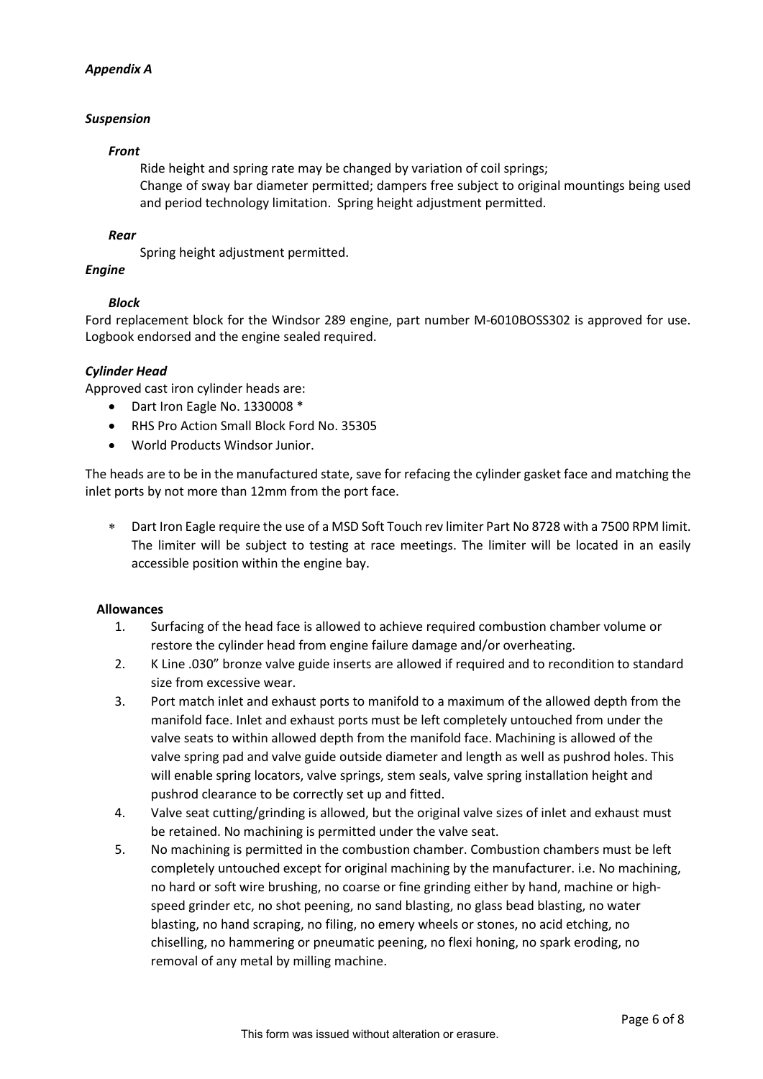## *Appendix A*

## *Suspension*

### *Front*

Ride height and spring rate may be changed by variation of coil springs; Change of sway bar diameter permitted; dampers free subject to original mountings being used and period technology limitation. Spring height adjustment permitted.

### *Rear*

Spring height adjustment permitted.

## *Engine*

## *Block*

Ford replacement block for the Windsor 289 engine, part number M-6010BOSS302 is approved for use. Logbook endorsed and the engine sealed required.

### *Cylinder Head*

Approved cast iron cylinder heads are:

- Dart Iron Eagle No. 1330008 \*
- RHS Pro Action Small Block Ford No. 35305
- World Products Windsor Junior.

The heads are to be in the manufactured state, save for refacing the cylinder gasket face and matching the inlet ports by not more than 12mm from the port face.

∗ Dart Iron Eagle require the use of a MSD Soft Touch rev limiter Part No 8728 with a 7500 RPM limit. The limiter will be subject to testing at race meetings. The limiter will be located in an easily accessible position within the engine bay.

### **Allowances**

- 1. Surfacing of the head face is allowed to achieve required combustion chamber volume or restore the cylinder head from engine failure damage and/or overheating.
- 2. K Line .030" bronze valve guide inserts are allowed if required and to recondition to standard size from excessive wear.
- 3. Port match inlet and exhaust ports to manifold to a maximum of the allowed depth from the manifold face. Inlet and exhaust ports must be left completely untouched from under the valve seats to within allowed depth from the manifold face. Machining is allowed of the valve spring pad and valve guide outside diameter and length as well as pushrod holes. This will enable spring locators, valve springs, stem seals, valve spring installation height and pushrod clearance to be correctly set up and fitted.
- 4. Valve seat cutting/grinding is allowed, but the original valve sizes of inlet and exhaust must be retained. No machining is permitted under the valve seat.
- 5. No machining is permitted in the combustion chamber. Combustion chambers must be left completely untouched except for original machining by the manufacturer. i.e. No machining, no hard or soft wire brushing, no coarse or fine grinding either by hand, machine or highspeed grinder etc, no shot peening, no sand blasting, no glass bead blasting, no water blasting, no hand scraping, no filing, no emery wheels or stones, no acid etching, no chiselling, no hammering or pneumatic peening, no flexi honing, no spark eroding, no removal of any metal by milling machine.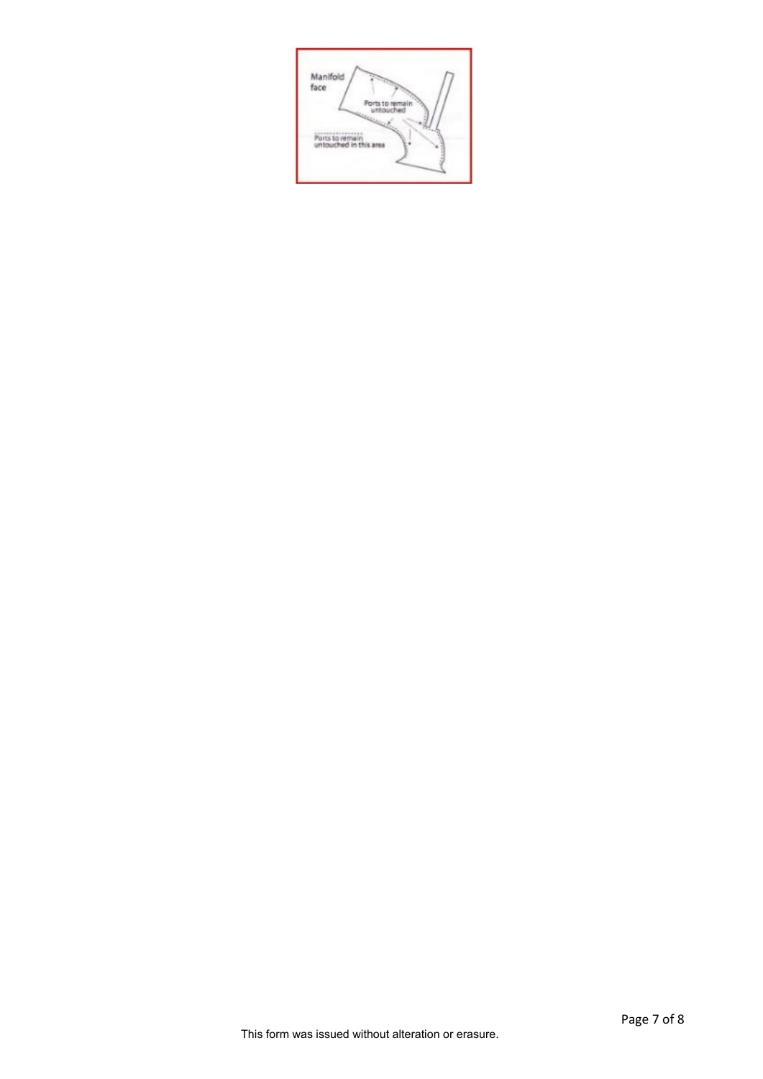